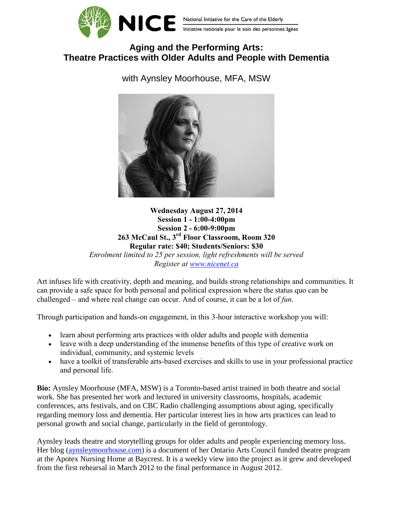

## **Aging and the Performing Arts: Theatre Practices with Older Adults and People with Dementia**

with Aynsley Moorhouse, MFA, MSW



**Wednesday August 27, 2014 Session 1 - 1:00-4:00pm Session 2 - 6:00-9:00pm 263 McCaul St., 3 rd Floor Classroom, Room 320 Regular rate: \$40; Students/Seniors: \$30**

*Enrolment limited to 25 per session, light refreshments will be served Register at [www.nicenet.ca](../AppData/Local/Temp/www.nicenet.ca)*

Art infuses life with creativity, depth and meaning, and builds strong relationships and communities. It can provide a safe space for both personal and political expression where the status quo can be challenged – and where real change can occur. And of course, it can be a lot of *fun*.

Through participation and hands-on engagement, in this 3-hour interactive workshop you will:

- learn about performing arts practices with older adults and people with dementia
- leave with a deep understanding of the immense benefits of this type of creative work on individual, community, and systemic levels
- have a toolkit of transferable arts-based exercises and skills to use in your professional practice and personal life.

**Bio:** Aynsley Moorhouse (MFA, MSW) is a Toronto-based artist trained in both theatre and social work. She has presented her work and lectured in university classrooms, hospitals, academic conferences, arts festivals, and on CBC Radio challenging assumptions about aging, specifically regarding memory loss and dementia. Her particular interest lies in how arts practices can lead to personal growth and social change, particularly in the field of gerontology.

Aynsley leads theatre and storytelling groups for older adults and people experiencing memory loss. Her blog [\(aynsleymoorhouse.com\)](http://aynsleymoorhouse.com/) is a document of her Ontario Arts Council funded theatre program at the Apotex Nursing Home at Baycrest. It is a weekly view into the project as it grew and developed from the first rehearsal in March 2012 to the final performance in August 2012.